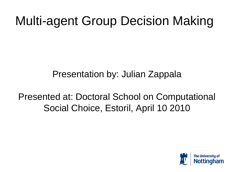## Multi-agent Group Decision Making

#### Presentation by: Julian Zappala

#### Presented at: Doctoral School on Computational Social Choice, Estoril, April 10 2010

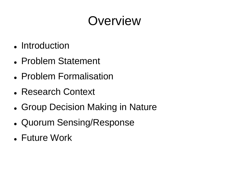#### **Overview**

- Introduction
- Problem Statement
- Problem Formalisation
- Research Context
- Group Decision Making in Nature
- Quorum Sensing/Response
- Future Work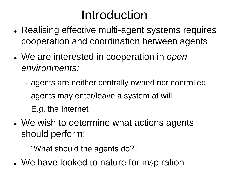## Introduction

- Realising effective multi-agent systems requires cooperation and coordination between agents
- We are interested in cooperation in *open environments:*
	- agents are neither centrally owned nor controlled
	- agents may enter/leave a system at will
	- E.g. the Internet
- We wish to determine what actions agents should perform:
	- "What should the agents do?"
- We have looked to nature for inspiration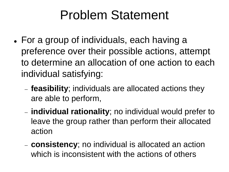#### Problem Statement

- For a group of individuals, each having a preference over their possible actions, attempt to determine an allocation of one action to each individual satisfying:
	- **feasibility**; individuals are allocated actions they are able to perform,
	- **individual rationality**; no individual would prefer to leave the group rather than perform their allocated action
	- **consistency**; no individual is allocated an action which is inconsistent with the actions of others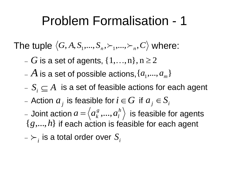#### Problem Formalisation - 1

The tuple  $\left\langle G, A, S_1, \ldots, S_n, \succ_1, \ldots, \succ_n, C \right\rangle$  where:

 $G$  is a set of agents,  $\{1,...,n\}, n \geq 2$ 

 $A$  is a set of possible actions,  $\{a^{}_{1},...,a^{}_{m}\}$ 

 $S_i \subseteq A$  is a set of feasible actions for each agent

 $a_j$  is feasible for  $i \in G$  if  $a_j \in S_i$ 

- Joint action  $a$  =  $\langle a_k^s, ..., a_l^n \rangle$  is feasible for agents  $i$  $\{g,...,h\}$  if each action is feasible for each agent *h l*  $a = \left\langle a_k^{\,g\,},...,a \right\rangle$ 

 $\lambda_i > \lambda_i$  is a total order over  $S_i$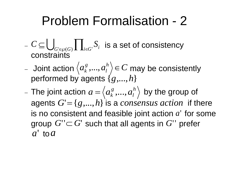#### Problem Formalisation - 2

- $I \subseteq \bigcup_{G \subseteq \mathcal{O}(G)} \prod_{i \in G} S_i$  is a set of consistency constraints  $C \subseteq \bigcup_{G' \in \wp(G)} \prod_{i \in G'} S_i$
- Joint action  $\left\langle a_k^s,...,a_l^h\right\rangle \in C$  may be consistently performed by agents {*g*,...,*h*} *l g k* ,...,
- The joint action  $a = \langle a_k^s, ..., a_l^h \rangle$  by the group of agents  $G' = \{g,...,h\}$  is a *consensus action* if there is no consistent and feasible joint action  $a'$  for some group  $G''\subset G'$  such that all agents in  $G'$ ' prefer  $\overline{a}$ ' *to*  $\overline{a}$ *l*  $a = \left\langle a_k^{\,g}\, ,... ,a \right\rangle$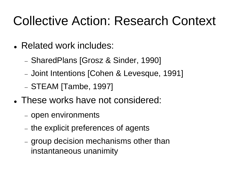## Collective Action: Research Context

- Related work includes:
	- SharedPlans [Grosz & Sinder, 1990]
	- Joint Intentions [Cohen & Levesque, 1991]
	- $-$  STEAM [Tambe, 1997]
- These works have not considered:
	- open environments
	- the explicit preferences of agents
	- group decision mechanisms other than instantaneous unanimity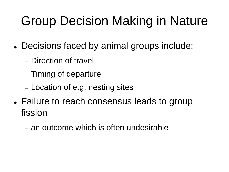# Group Decision Making in Nature

- Decisions faced by animal groups include:
	- Direction of travel
	- Timing of departure
	- Location of e.g. nesting sites
- Failure to reach consensus leads to group fission
	- an outcome which is often undesirable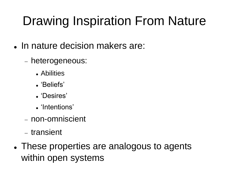# Drawing Inspiration From Nature

- In nature decision makers are:
	- heterogeneous:
		- Abilities
		- . 'Beliefs'
		- . 'Desires'
		- . 'Intentions'
	- non-omniscient
	- transient
- These properties are analogous to agents within open systems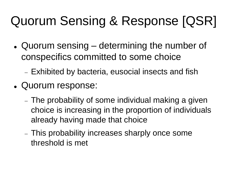# Quorum Sensing & Response [QSR]

- Quorum sensing determining the number of conspecifics committed to some choice
	- Exhibited by bacteria, eusocial insects and fish
- Quorum response:
	- The probability of some individual making a given choice is increasing in the proportion of individuals already having made that choice
	- This probability increases sharply once some threshold is met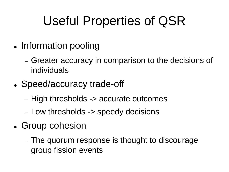## Useful Properties of QSR

- Information pooling
	- Greater accuracy in comparison to the decisions of individuals
- Speed/accuracy trade-off
	- High thresholds -> accurate outcomes
	- Low thresholds -> speedy decisions
- Group cohesion
	- The quorum response is thought to discourage group fission events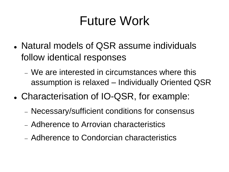### Future Work

- Natural models of QSR assume individuals follow identical responses
	- We are interested in circumstances where this assumption is relaxed – Individually Oriented QSR
- Characterisation of IO-QSR, for example:
	- Necessary/sufficient conditions for consensus
	- Adherence to Arrovian characteristics
	- Adherence to Condorcian characteristics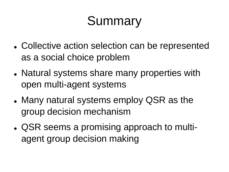## **Summary**

- Collective action selection can be represented as a social choice problem
- Natural systems share many properties with open multi-agent systems
- Many natural systems employ QSR as the group decision mechanism
- QSR seems a promising approach to multiagent group decision making